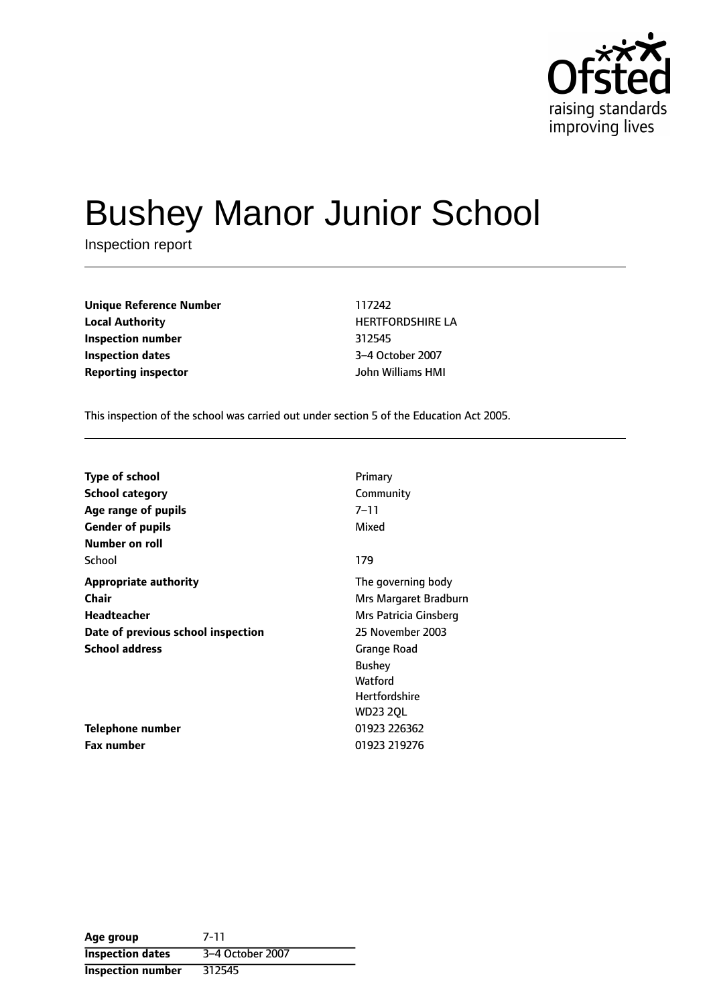

# Bushey Manor Junior School

Inspection report

**Unique Reference Number** 117242 **Local Authority HERTFORDSHIRE LA Inspection number** 312545 **Inspection dates** 3-4 October 2007 **Reporting inspector** John Williams HMI

This inspection of the school was carried out under section 5 of the Education Act 2005.

| <b>Type of school</b>              | Primary               |
|------------------------------------|-----------------------|
| <b>School category</b>             | Community             |
| Age range of pupils                | 7–11                  |
| <b>Gender of pupils</b>            | Mixed                 |
| Number on roll                     |                       |
| School                             | 179                   |
| <b>Appropriate authority</b>       | The governing body    |
| Chair                              | Mrs Margaret Bradburn |
| Headteacher                        | Mrs Patricia Ginsberg |
| Date of previous school inspection | 25 November 2003      |
| <b>School address</b>              | Grange Road           |
|                                    | <b>Bushey</b>         |
|                                    | Watford               |
|                                    | <b>Hertfordshire</b>  |
|                                    | <b>WD23 2QL</b>       |
| Telephone number                   | 01923 226362          |
| <b>Fax number</b>                  | 01923 219276          |

| Age group                | 7-11             |
|--------------------------|------------------|
| <b>Inspection dates</b>  | 3-4 October 2007 |
| <b>Inspection number</b> | 312545           |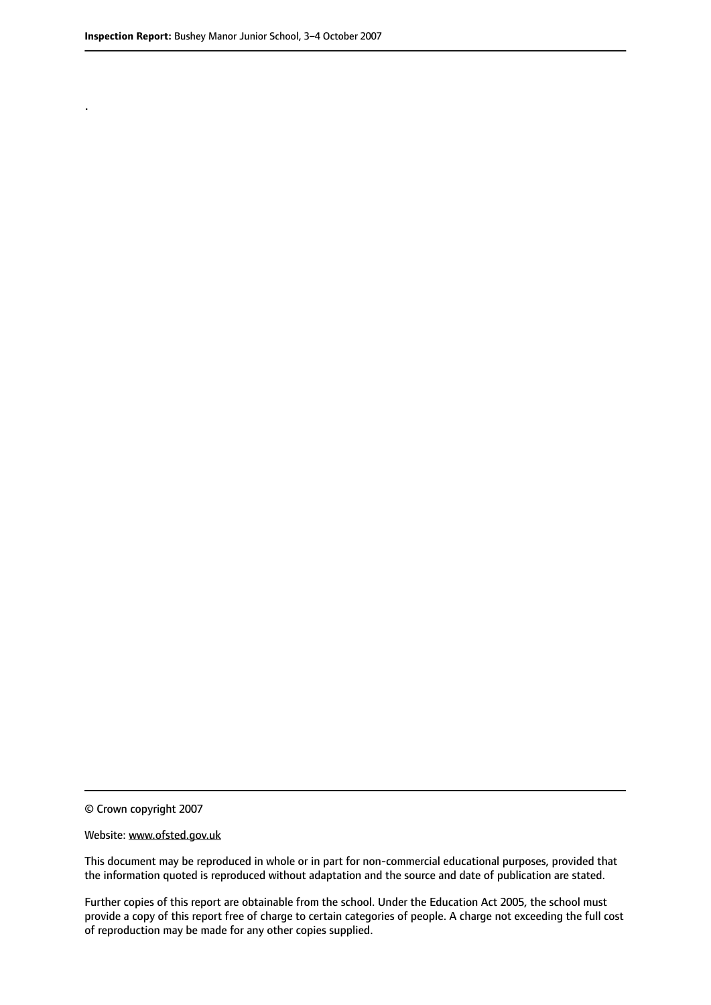.

© Crown copyright 2007

#### Website: www.ofsted.gov.uk

This document may be reproduced in whole or in part for non-commercial educational purposes, provided that the information quoted is reproduced without adaptation and the source and date of publication are stated.

Further copies of this report are obtainable from the school. Under the Education Act 2005, the school must provide a copy of this report free of charge to certain categories of people. A charge not exceeding the full cost of reproduction may be made for any other copies supplied.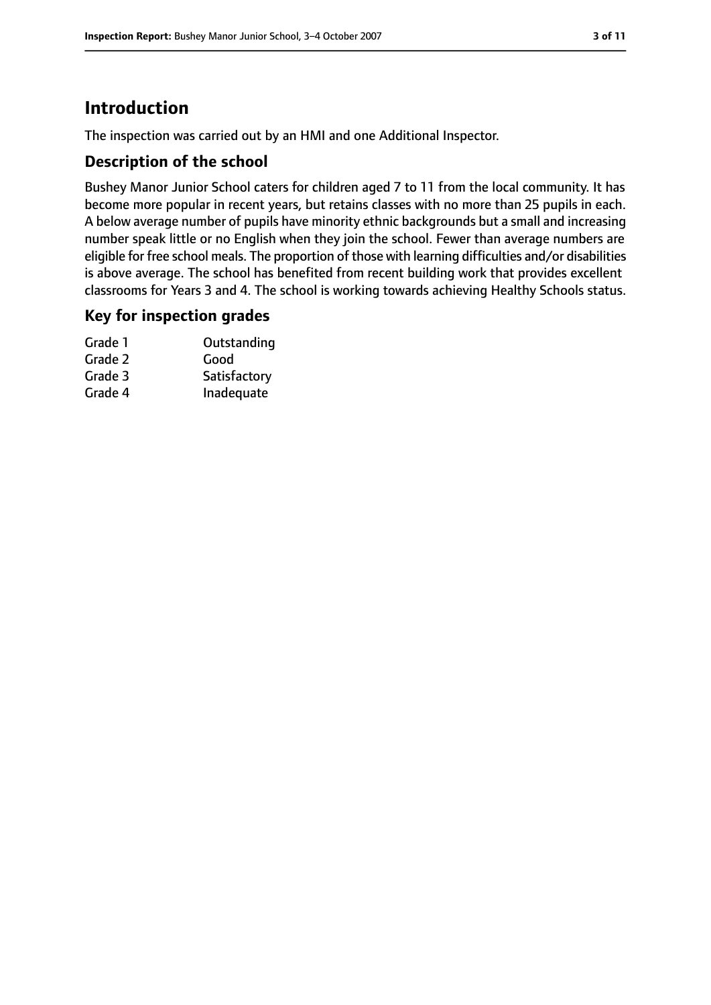# **Introduction**

The inspection was carried out by an HMI and one Additional Inspector.

#### **Description of the school**

Bushey Manor Junior School caters for children aged 7 to 11 from the local community. It has become more popular in recent years, but retains classes with no more than 25 pupils in each. A below average number of pupils have minority ethnic backgrounds but a small and increasing number speak little or no English when they join the school. Fewer than average numbers are eligible for free school meals. The proportion of those with learning difficulties and/or disabilities is above average. The school has benefited from recent building work that provides excellent classrooms for Years 3 and 4. The school is working towards achieving Healthy Schools status.

#### **Key for inspection grades**

| Grade 1 | Outstanding  |
|---------|--------------|
| Grade 2 | Good         |
| Grade 3 | Satisfactory |
| Grade 4 | Inadequate   |
|         |              |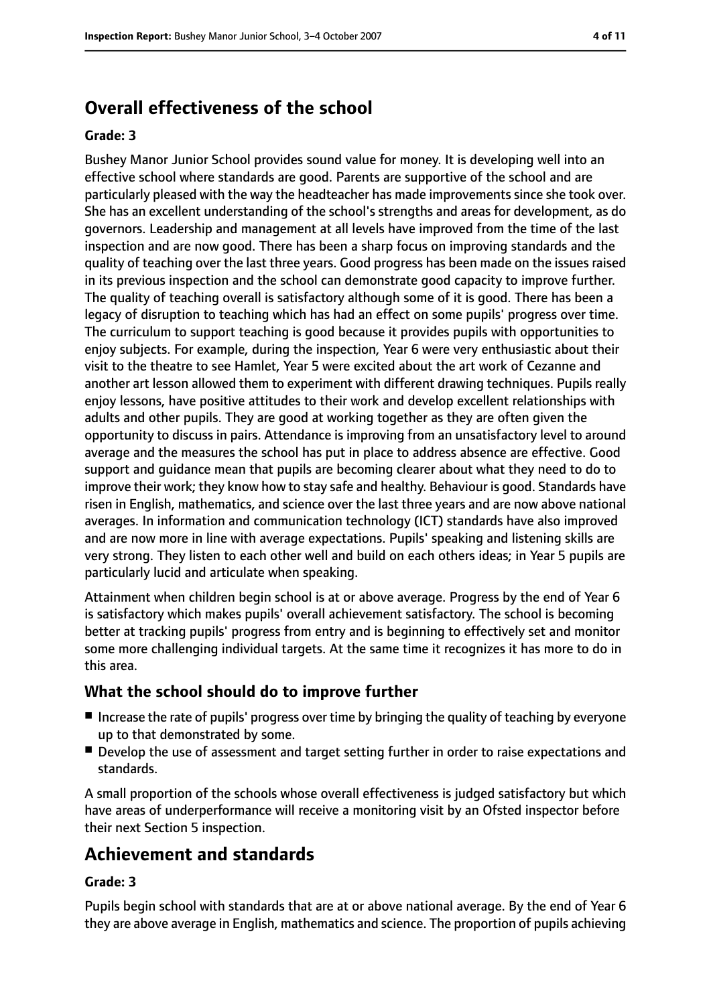## **Overall effectiveness of the school**

#### **Grade: 3**

Bushey Manor Junior School provides sound value for money. It is developing well into an effective school where standards are good. Parents are supportive of the school and are particularly pleased with the way the headteacher has made improvements since she took over. She has an excellent understanding of the school's strengths and areas for development, as do governors. Leadership and management at all levels have improved from the time of the last inspection and are now good. There has been a sharp focus on improving standards and the quality of teaching over the last three years. Good progress has been made on the issues raised in its previous inspection and the school can demonstrate good capacity to improve further. The quality of teaching overall is satisfactory although some of it is good. There has been a legacy of disruption to teaching which has had an effect on some pupils' progress over time. The curriculum to support teaching is good because it provides pupils with opportunities to enjoy subjects. For example, during the inspection, Year 6 were very enthusiastic about their visit to the theatre to see Hamlet, Year 5 were excited about the art work of Cezanne and another art lesson allowed them to experiment with different drawing techniques. Pupils really enjoy lessons, have positive attitudes to their work and develop excellent relationships with adults and other pupils. They are good at working together as they are often given the opportunity to discuss in pairs. Attendance is improving from an unsatisfactory level to around average and the measures the school has put in place to address absence are effective. Good support and guidance mean that pupils are becoming clearer about what they need to do to improve their work; they know how to stay safe and healthy. Behaviour is good. Standards have risen in English, mathematics, and science over the last three years and are now above national averages. In information and communication technology (ICT) standards have also improved and are now more in line with average expectations. Pupils' speaking and listening skills are very strong. They listen to each other well and build on each others ideas; in Year 5 pupils are particularly lucid and articulate when speaking.

Attainment when children begin school is at or above average. Progress by the end of Year 6 is satisfactory which makes pupils' overall achievement satisfactory. The school is becoming better at tracking pupils' progress from entry and is beginning to effectively set and monitor some more challenging individual targets. At the same time it recognizes it has more to do in this area.

#### **What the school should do to improve further**

- Increase the rate of pupils' progress over time by bringing the quality of teaching by everyone up to that demonstrated by some.
- Develop the use of assessment and target setting further in order to raise expectations and standards.

A small proportion of the schools whose overall effectiveness is judged satisfactory but which have areas of underperformance will receive a monitoring visit by an Ofsted inspector before their next Section 5 inspection.

## **Achievement and standards**

#### **Grade: 3**

Pupils begin school with standards that are at or above national average. By the end of Year 6 they are above average in English, mathematics and science. The proportion of pupils achieving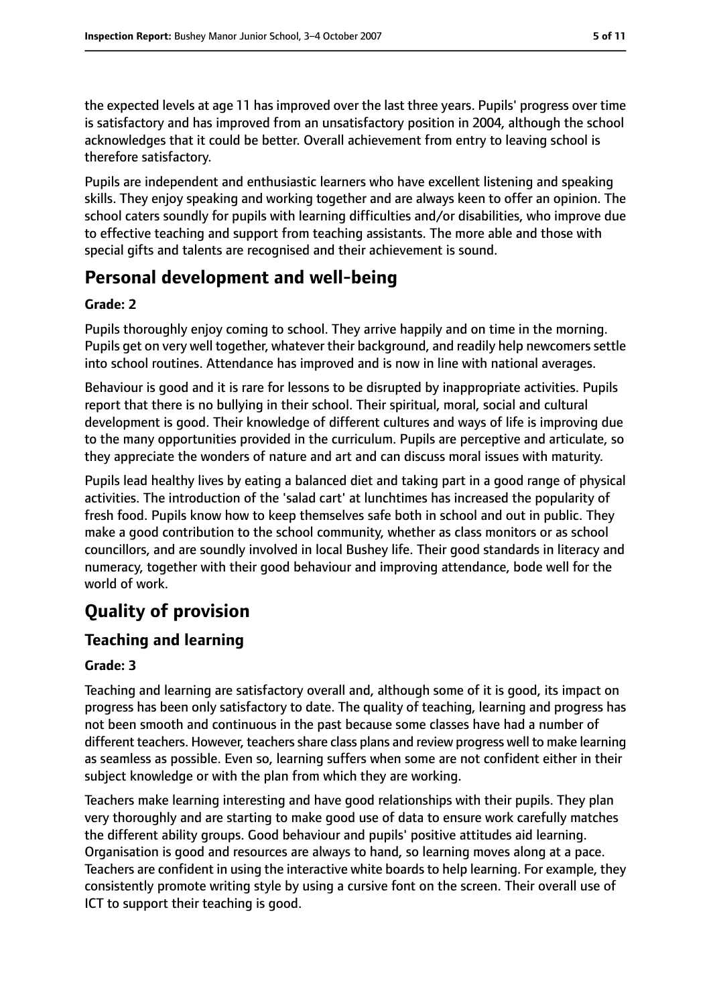the expected levels at age 11 has improved over the last three years. Pupils' progress over time is satisfactory and has improved from an unsatisfactory position in 2004, although the school acknowledges that it could be better. Overall achievement from entry to leaving school is therefore satisfactory.

Pupils are independent and enthusiastic learners who have excellent listening and speaking skills. They enjoy speaking and working together and are always keen to offer an opinion. The school caters soundly for pupils with learning difficulties and/or disabilities, who improve due to effective teaching and support from teaching assistants. The more able and those with special gifts and talents are recognised and their achievement is sound.

## **Personal development and well-being**

#### **Grade: 2**

Pupils thoroughly enjoy coming to school. They arrive happily and on time in the morning. Pupils get on very well together, whatever their background, and readily help newcomers settle into school routines. Attendance has improved and is now in line with national averages.

Behaviour is good and it is rare for lessons to be disrupted by inappropriate activities. Pupils report that there is no bullying in their school. Their spiritual, moral, social and cultural development is good. Their knowledge of different cultures and ways of life is improving due to the many opportunities provided in the curriculum. Pupils are perceptive and articulate, so they appreciate the wonders of nature and art and can discuss moral issues with maturity.

Pupils lead healthy lives by eating a balanced diet and taking part in a good range of physical activities. The introduction of the 'salad cart' at lunchtimes has increased the popularity of fresh food. Pupils know how to keep themselves safe both in school and out in public. They make a good contribution to the school community, whether as class monitors or as school councillors, and are soundly involved in local Bushey life. Their good standards in literacy and numeracy, together with their good behaviour and improving attendance, bode well for the world of work.

# **Quality of provision**

## **Teaching and learning**

#### **Grade: 3**

Teaching and learning are satisfactory overall and, although some of it is good, its impact on progress has been only satisfactory to date. The quality of teaching, learning and progress has not been smooth and continuous in the past because some classes have had a number of different teachers. However, teachers share class plans and review progress well to make learning as seamless as possible. Even so, learning suffers when some are not confident either in their subject knowledge or with the plan from which they are working.

Teachers make learning interesting and have good relationships with their pupils. They plan very thoroughly and are starting to make good use of data to ensure work carefully matches the different ability groups. Good behaviour and pupils' positive attitudes aid learning. Organisation is good and resources are always to hand, so learning moves along at a pace. Teachers are confident in using the interactive white boards to help learning. For example, they consistently promote writing style by using a cursive font on the screen. Their overall use of ICT to support their teaching is good.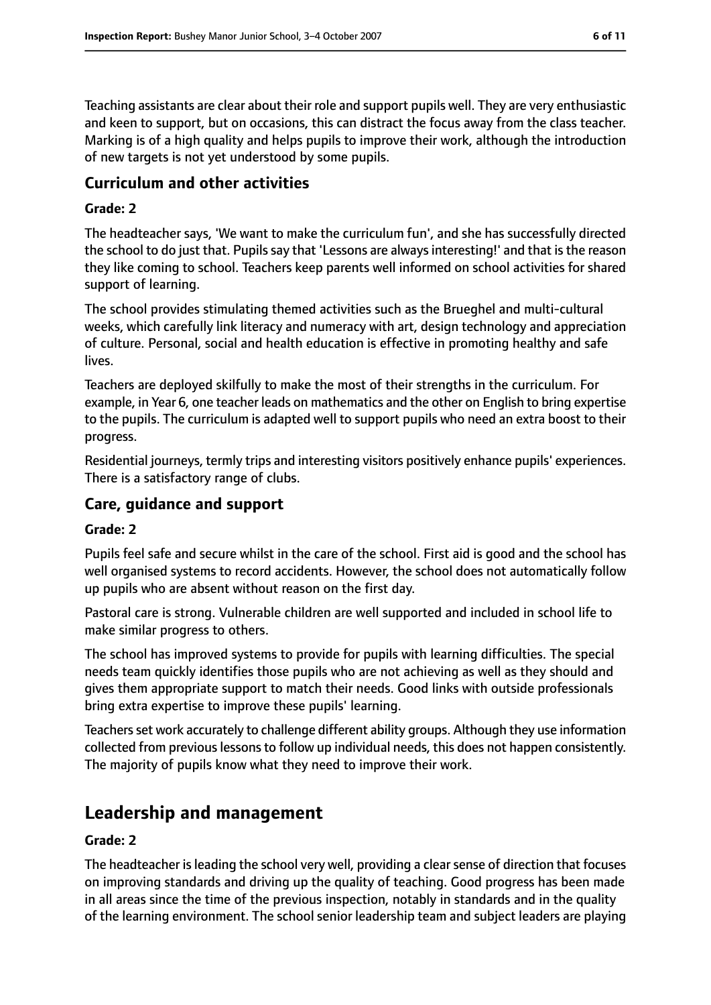Teaching assistants are clear about their role and support pupils well. They are very enthusiastic and keen to support, but on occasions, this can distract the focus away from the class teacher. Marking is of a high quality and helps pupils to improve their work, although the introduction of new targets is not yet understood by some pupils.

#### **Curriculum and other activities**

#### **Grade: 2**

The headteacher says, 'We want to make the curriculum fun', and she has successfully directed the school to do just that. Pupils say that 'Lessons are always interesting!' and that is the reason they like coming to school. Teachers keep parents well informed on school activities for shared support of learning.

The school provides stimulating themed activities such as the Brueghel and multi-cultural weeks, which carefully link literacy and numeracy with art, design technology and appreciation of culture. Personal, social and health education is effective in promoting healthy and safe lives.

Teachers are deployed skilfully to make the most of their strengths in the curriculum. For example, in Year 6, one teacher leads on mathematics and the other on English to bring expertise to the pupils. The curriculum is adapted well to support pupils who need an extra boost to their progress.

Residential journeys, termly trips and interesting visitors positively enhance pupils' experiences. There is a satisfactory range of clubs.

#### **Care, guidance and support**

#### **Grade: 2**

Pupils feel safe and secure whilst in the care of the school. First aid is good and the school has well organised systems to record accidents. However, the school does not automatically follow up pupils who are absent without reason on the first day.

Pastoral care is strong. Vulnerable children are well supported and included in school life to make similar progress to others.

The school has improved systems to provide for pupils with learning difficulties. The special needs team quickly identifies those pupils who are not achieving as well as they should and gives them appropriate support to match their needs. Good links with outside professionals bring extra expertise to improve these pupils' learning.

Teachers set work accurately to challenge different ability groups. Although they use information collected from previous lessons to follow up individual needs, this does not happen consistently. The majority of pupils know what they need to improve their work.

## **Leadership and management**

#### **Grade: 2**

The headteacher is leading the school very well, providing a clear sense of direction that focuses on improving standards and driving up the quality of teaching. Good progress has been made in all areas since the time of the previous inspection, notably in standards and in the quality of the learning environment. The school senior leadership team and subject leaders are playing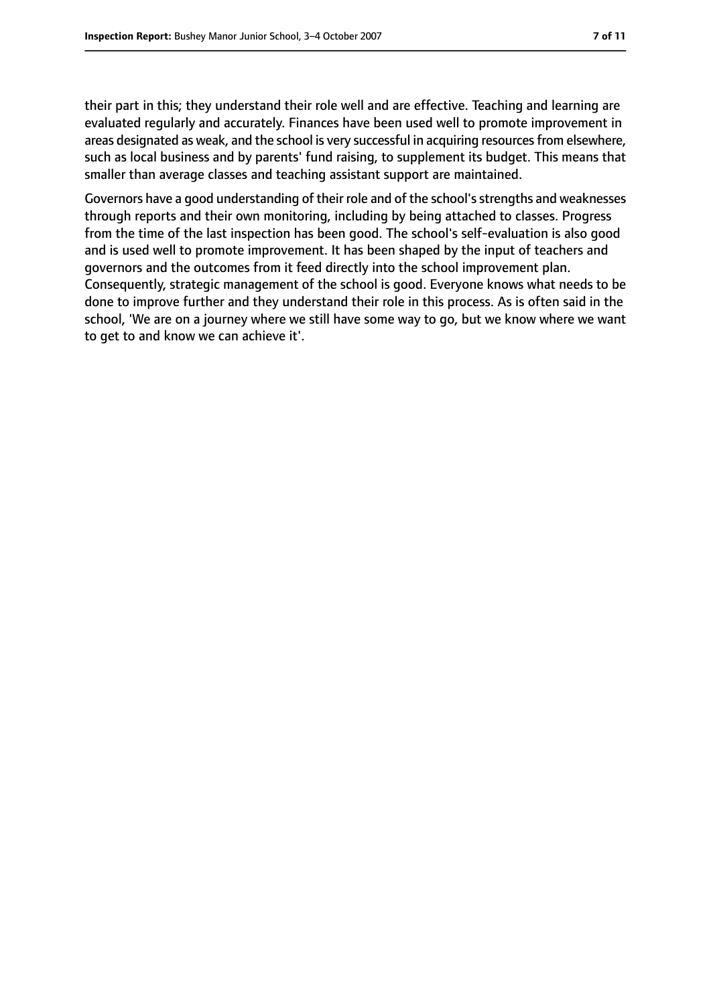their part in this; they understand their role well and are effective. Teaching and learning are evaluated regularly and accurately. Finances have been used well to promote improvement in areas designated as weak, and the school is very successful in acquiring resourcesfrom elsewhere, such as local business and by parents' fund raising, to supplement its budget. This means that smaller than average classes and teaching assistant support are maintained.

Governors have a good understanding of their role and of the school's strengths and weaknesses through reports and their own monitoring, including by being attached to classes. Progress from the time of the last inspection has been good. The school's self-evaluation is also good and is used well to promote improvement. It has been shaped by the input of teachers and governors and the outcomes from it feed directly into the school improvement plan. Consequently, strategic management of the school is good. Everyone knows what needs to be done to improve further and they understand their role in this process. As is often said in the school, 'We are on a journey where we still have some way to go, but we know where we want to get to and know we can achieve it'.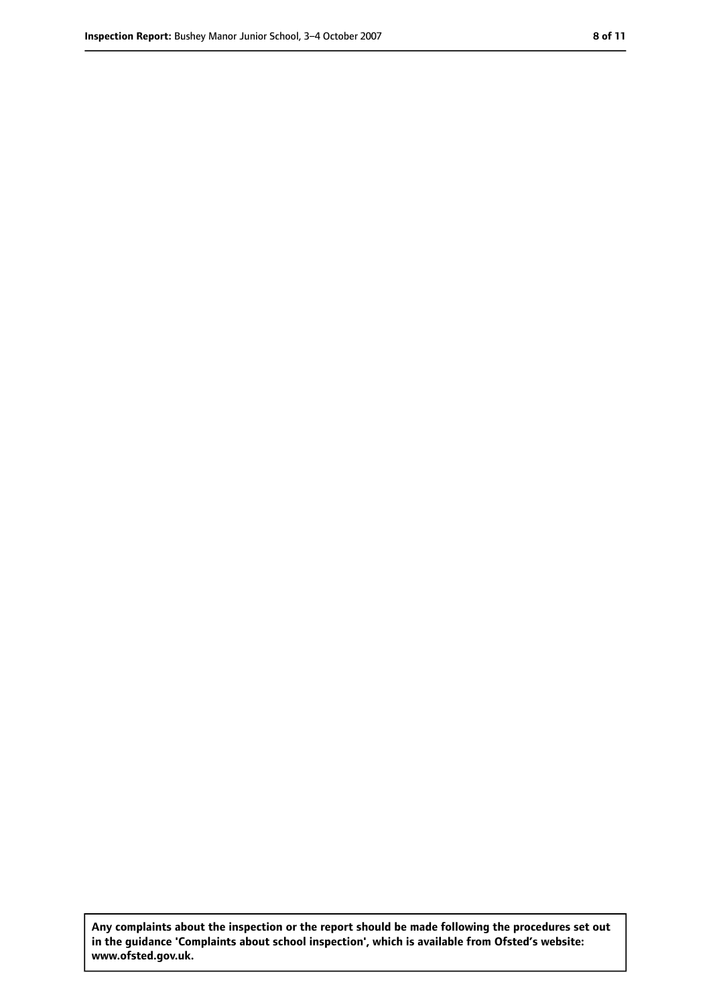**Any complaints about the inspection or the report should be made following the procedures set out in the guidance 'Complaints about school inspection', which is available from Ofsted's website: www.ofsted.gov.uk.**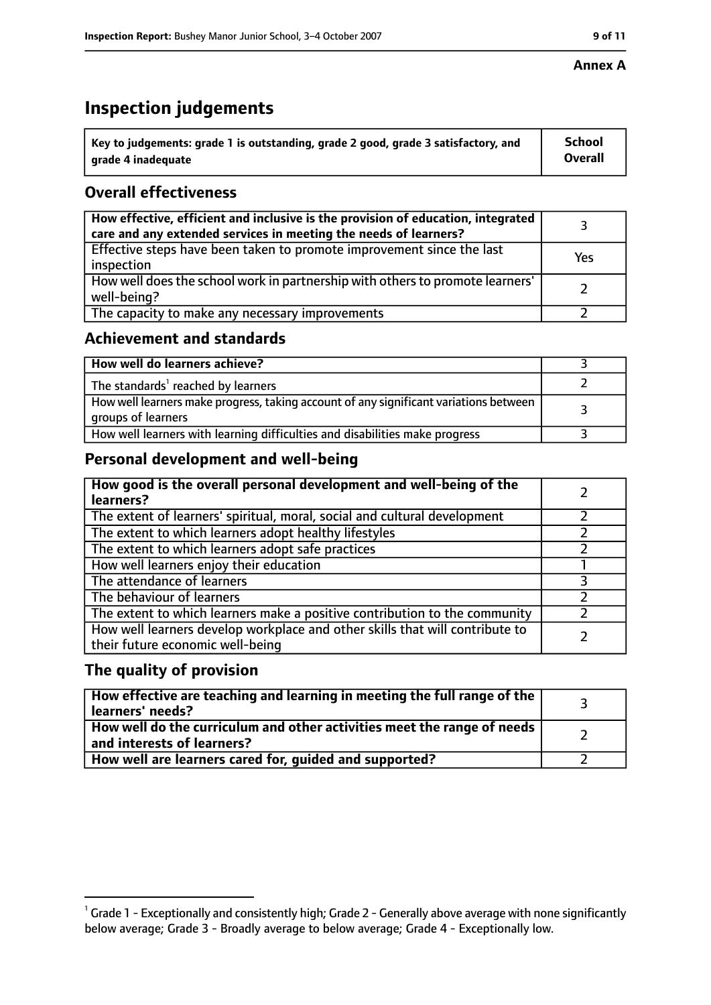#### **Annex A**

# **Inspection judgements**

| $^{\circ}$ Key to judgements: grade 1 is outstanding, grade 2 good, grade 3 satisfactory, and | <b>School</b>  |
|-----------------------------------------------------------------------------------------------|----------------|
| arade 4 inadeguate                                                                            | <b>Overall</b> |

## **Overall effectiveness**

| How effective, efficient and inclusive is the provision of education, integrated<br>care and any extended services in meeting the needs of learners? |     |
|------------------------------------------------------------------------------------------------------------------------------------------------------|-----|
| Effective steps have been taken to promote improvement since the last<br>inspection                                                                  | Yes |
| How well does the school work in partnership with others to promote learners'<br>well-being?                                                         |     |
| The capacity to make any necessary improvements                                                                                                      |     |

### **Achievement and standards**

| How well do learners achieve?                                                                               |  |
|-------------------------------------------------------------------------------------------------------------|--|
| The standards <sup>1</sup> reached by learners                                                              |  |
| How well learners make progress, taking account of any significant variations between<br>groups of learners |  |
| How well learners with learning difficulties and disabilities make progress                                 |  |

## **Personal development and well-being**

| How good is the overall personal development and well-being of the<br>learners?                                  |  |
|------------------------------------------------------------------------------------------------------------------|--|
| The extent of learners' spiritual, moral, social and cultural development                                        |  |
| The extent to which learners adopt healthy lifestyles                                                            |  |
| The extent to which learners adopt safe practices                                                                |  |
| How well learners enjoy their education                                                                          |  |
| The attendance of learners                                                                                       |  |
| The behaviour of learners                                                                                        |  |
| The extent to which learners make a positive contribution to the community                                       |  |
| How well learners develop workplace and other skills that will contribute to<br>their future economic well-being |  |

#### **The quality of provision**

| How effective are teaching and learning in meeting the full range of the<br>learners' needs?          |  |
|-------------------------------------------------------------------------------------------------------|--|
| How well do the curriculum and other activities meet the range of needs<br>and interests of learners? |  |
| How well are learners cared for, guided and supported?                                                |  |

 $^1$  Grade 1 - Exceptionally and consistently high; Grade 2 - Generally above average with none significantly below average; Grade 3 - Broadly average to below average; Grade 4 - Exceptionally low.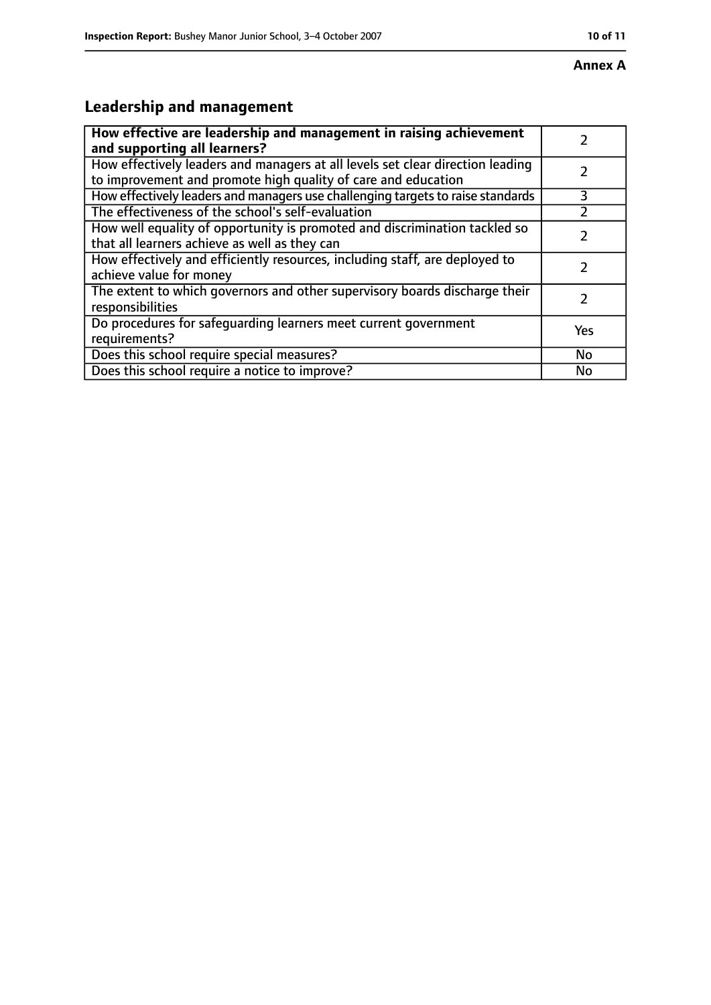# **Leadership and management**

| How effective are leadership and management in raising achievement<br>and supporting all learners?                                              |     |
|-------------------------------------------------------------------------------------------------------------------------------------------------|-----|
| How effectively leaders and managers at all levels set clear direction leading<br>to improvement and promote high quality of care and education |     |
| How effectively leaders and managers use challenging targets to raise standards                                                                 | 3   |
| The effectiveness of the school's self-evaluation                                                                                               |     |
| How well equality of opportunity is promoted and discrimination tackled so<br>that all learners achieve as well as they can                     |     |
| How effectively and efficiently resources, including staff, are deployed to<br>achieve value for money                                          |     |
| The extent to which governors and other supervisory boards discharge their<br>responsibilities                                                  |     |
| Do procedures for safequarding learners meet current government<br>requirements?                                                                | Yes |
| Does this school require special measures?                                                                                                      | No  |
| Does this school require a notice to improve?                                                                                                   | No  |